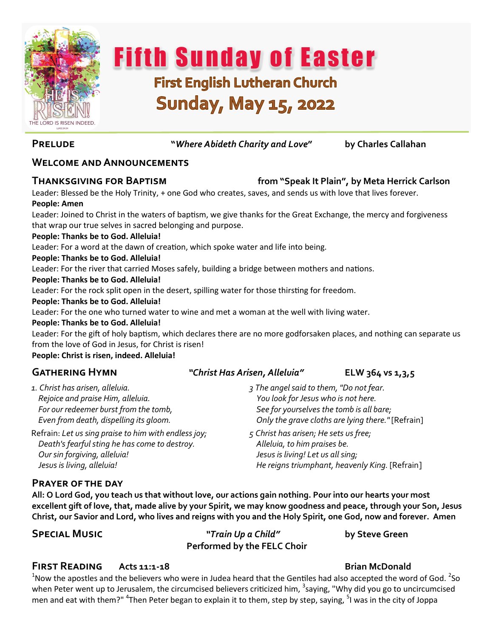

**Fifth Sunday of Easter First English Lutheran Church** 

# **Sunday, May 15, 2022**

**Prelude "***Where Abideth Charity and Love***" by Charles Callahan** 

### **Welcome and Announcements**

### **Thanksgiving for Baptism from "Speak It Plain", by Meta Herrick Carlson**

Leader: Blessed be the Holy Trinity, + one God who creates, saves, and sends us with love that lives forever. **People: Amen**

Leader: Joined to Christ in the waters of baptism, we give thanks for the Great Exchange, the mercy and forgiveness that wrap our true selves in sacred belonging and purpose.

#### **People: Thanks be to God. Alleluia!**

Leader: For a word at the dawn of creation, which spoke water and life into being.

#### **People: Thanks be to God. Alleluia!**

Leader: For the river that carried Moses safely, building a bridge between mothers and nations.

#### **People: Thanks be to God. Alleluia!**

Leader: For the rock split open in the desert, spilling water for those thirsting for freedom.

#### **People: Thanks be to God. Alleluia!**

Leader: For the one who turned water to wine and met a woman at the well with living water.

#### **People: Thanks be to God. Alleluia!**

Leader: For the gift of holy baptism, which declares there are no more godforsaken places, and nothing can separate us from the love of God in Jesus, for Christ is risen!

**People: Christ is risen, indeed. Alleluia!** 

*1. Christ has arisen, alleluia. Rejoice and praise Him, alleluia. For our redeemer burst from the tomb, Even from death, dispelling its gloom.*

Refrain: *Let us sing praise to him with endless joy; Death's fearful sting he has come to destroy. Our sin forgiving, alleluia! Jesus is living, alleluia!*

#### **Gathering Hymn** *"Christ Has Arisen, Alleluia"* **ELW 364 vs 1,3,5**

- *3 The angel said to them, "Do not fear. You look for Jesus who is not here. See for yourselves the tomb is all bare; Only the grave cloths are lying there."* [Refrain]
- *5 Christ has arisen; He sets us free; Alleluia, to him praises be. Jesus is living! Let us all sing; He reigns triumphant, heavenly King.* [Refrain]

#### **Prayer of the day**

**All: O Lord God, you teach us that without love, our actions gain nothing. Pour into our hearts your most excellent gift of love, that, made alive by your Spirit, we may know goodness and peace, through your Son, Jesus Christ, our Savior and Lord, who lives and reigns with you and the Holy Spirit, one God, now and forever. Amen**

**Special Music** *"Train Up a Child"* **by Steve Green Performed by the FELC Choir**

#### **First Reading Acts 11:1-18 Brian McDonald**

 $^1$ Now the apostles and the believers who were in Judea heard that the Gentiles had also accepted the word of God. <sup>2</sup>So when Peter went up to Jerusalem, the circumcised believers criticized him, <sup>3</sup>saying, "Why did you go to uncircumcised men and eat with them?" <sup>4</sup>Then Peter began to explain it to them, step by step, saying, <sup>5</sup>I was in the city of Joppa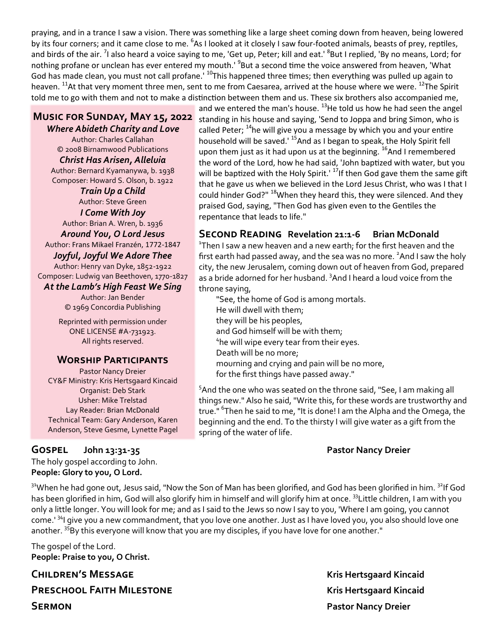praying, and in a trance I saw a vision. There was something like a large sheet coming down from heaven, being lowered by its four corners; and it came close to me. <sup>6</sup>As I looked at it closely I saw four-footed animals, beasts of prey, reptiles, and birds of the air. <sup>7</sup>I also heard a voice saying to me, 'Get up, Peter; kill and eat.' <sup>8</sup>But I replied, 'By no means, Lord; for nothing profane or unclean has ever entered my mouth.' <sup>9</sup>But a second time the voice answered from heaven, 'What God has made clean, you must not call profane.' <sup>10</sup>This happened three times; then everything was pulled up again to heaven. <sup>11</sup>At that very moment three men, sent to me from Caesarea, arrived at the house where we were. <sup>12</sup>The Spirit told me to go with them and not to make a distinction between them and us. These six brothers also accompanied me,

## **Music for Sunday, May 15, 2022**

*Where Abideth Charity and Love* Author: Charles Callahan © 2008 Birnamwood Publications *Christ Has Arisen, Alleluia*

Author: [Bernard Kyamanywa, b. 1938](https://hymnary.org/person/Kyamanywa_B) Composer: [Howard S. Olson, b. 1922](https://hymnary.org/person/Olson_HS)

*Train Up a Child* Author: Steve Green *I Come With Joy* Author: Brian A. Wren, b. 1936 *Around You, O Lord Jesus* Author: [Frans Mikael Franzén, 1772](https://hymnary.org/person/Franzen_FM)-1847

*Joyful, Joyful We Adore Thee* Author: [Henry van Dyke, 1852](https://hymnary.org/person/vanDyke_Henry)-1922

Composer: [Ludwig van Beethoven, 1770](https://hymnary.org/person/Beethoven_Ludwig)-1827

#### *At the Lamb's High Feast We Sing*

Author: Jan Bender © 1969 Concordia Publishing

Reprinted with permission under ONE LICENSE #A-731923. All rights reserved.

#### **Worship Participants**

Pastor Nancy Dreier CY&F Ministry: Kris Hertsgaard Kincaid Organist: Deb Stark Usher: Mike Trelstad Lay Reader: Brian McDonald Technical Team: Gary Anderson, Karen Anderson, Steve Gesme, Lynette Pagel

### **Gospel John 13:31-35 Pastor Nancy Dreier**

The holy gospel according to John. **People: Glory to you, O Lord.**

and we entered the man's house.  $^{13}$ He told us how he had seen the angel standing in his house and saying, 'Send to Joppa and bring Simon, who is called Peter;  $14$ he will give you a message by which you and your entire household will be saved.<sup>15</sup>And as I began to speak, the Holy Spirit fell upon them just as it had upon us at the beginning. <sup>16</sup>And I remembered the word of the Lord, how he had said, 'John baptized with water, but you will be baptized with the Holy Spirit.<sup>' 17</sup>If then God gave them the same gift that he gave us when we believed in the Lord Jesus Christ, who was I that I could hinder God?"  $18$ When they heard this, they were silenced. And they praised God, saying, "Then God has given even to the Gentiles the repentance that leads to life."

### **Second Reading Revelation 21:1-6 Brian McDonald**

<sup>1</sup>Then I saw a new heaven and a new earth; for the first heaven and the first earth had passed away, and the sea was no more.  $2$  And I saw the holy city, the new Jerusalem, coming down out of heaven from God, prepared as a bride adorned for her husband. <sup>3</sup>And I heard a loud voice from the throne saying,

"See, the home of God is among mortals. He will dwell with them; they will be his peoples, and God himself will be with them; 4 he will wipe every tear from their eyes. Death will be no more; mourning and crying and pain will be no more, for the first things have passed away."

<sup>5</sup>And the one who was seated on the throne said, "See, I am making all things new." Also he said, "Write this, for these words are trustworthy and true." <sup>6</sup>Then he said to me, "It is done! I am the Alpha and the Omega, the beginning and the end. To the thirsty I will give water as a gift from the spring of the water of life.

<sup>31</sup>When he had gone out, Jesus said, "Now the Son of Man has been glorified, and God has been glorified in him. <sup>32</sup>If God has been glorified in him, God will also glorify him in himself and will glorify him at once. <sup>33</sup>Little children, I am with you only a little longer. You will look for me; and as I said to the Jews so now I say to you, 'Where I am going, you cannot come.' <sup>34</sup>I give you a new commandment, that you love one another. Just as I have loved you, you also should love one another. <sup>35</sup>By this everyone will know that you are my disciples, if you have love for one another."

The gospel of the Lord. **People: Praise to you, O Christ.**

**Children's Message Kris Hertsgaard Kincaid PRESCHOOL FAITH MILESTONE Kris Hertsgaard Kincaid** 

**SERMON Pastor Nancy Dreier**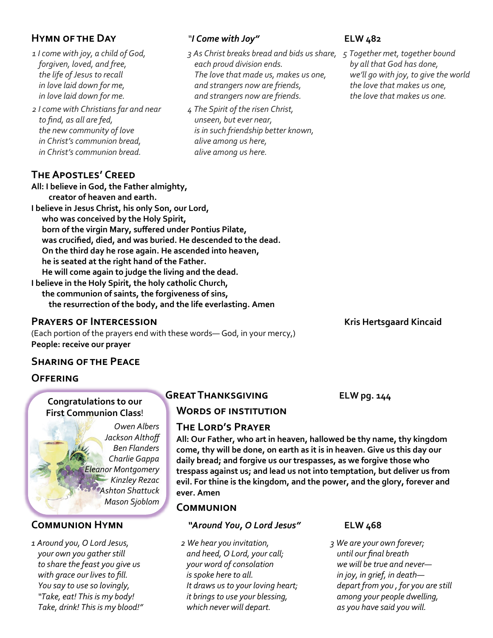### **Hymn of the Day** *"I Come with Joy"* **ELW 482**

- *1 I come with joy, a child of God, forgiven, loved, and free, the life of Jesus to recall in love laid down for me, in love laid down for me.*
- *2 I come with Christians far and near to find, as all are fed, the new community of love in Christ's communion bread, in Christ's communion bread.*

### **The Apostles' Creed**

- *3 As Christ breaks bread and bids us share, 5 Together met, together bound each proud division ends. The love that made us, makes us one, and strangers now are friends, and strangers now are friends.*
- *4 The Spirit of the risen Christ, unseen, but ever near, is in such friendship better known, alive among us here, alive among us here.*

*by all that God has done, we'll go with joy, to give the world the love that makes us one, the love that makes us one.*

#### **All: I believe in God, the Father almighty, creator of heaven and earth.**

**I believe in Jesus Christ, his only Son, our Lord, who was conceived by the Holy Spirit, born of the virgin Mary, suffered under Pontius Pilate, was crucified, died, and was buried. He descended to the dead. On the third day he rose again. He ascended into heaven, he is seated at the right hand of the Father. He will come again to judge the living and the dead. I believe in the Holy Spirit, the holy catholic Church,** 

**the communion of saints, the forgiveness of sins, the resurrection of the body, and the life everlasting. Amen**

#### **PRAYERS OF INTERCESSION CONSUMING THE READING THE READING WAS EXAMPLED ASSESSED FOR A READING THE READING WAS A READING THE READING WAS A READING WAS A READING WAS A READING WAS A READING WAS A READING WAS A READING WAS**

(Each portion of the prayers end with these words— God, in your mercy,) **People: receive our prayer** 

### **Sharing of the Peace**

#### **Offering**

#### **Congratulations to our First Communion Class**!

*Owen Albers Jackson Althoff Ben Flanders Charlie Gappa Eleanor Montgomery Kinzley Rezac Ashton Shattuck Mason Sjoblom*

*1 Around you, O Lord Jesus, your own you gather still to share the feast you give us with grace our lives to fill. You say to use so lovingly, "Take, eat! This is my body! Take, drink! This is my blood!"*

### **Great Thanksgiving ELW pg. 144**

#### **Words of institution**

#### **The Lord's Prayer**

**All: Our Father, who art in heaven, hallowed be thy name, thy kingdom come, thy will be done, on earth as it is in heaven. Give us this day our daily bread; and forgive us our trespasses, as we forgive those who trespass against us; and lead us not into temptation, but deliver us from evil. For thine is the kingdom, and the power, and the glory, forever and ever. Amen**

#### **Communion**

#### **Communion Hymn** *"Around You, O Lord Jesus"* **ELW 468**

*2 We hear you invitation, and heed, O Lord, your call; your word of consolation is spoke here to all. It draws us to your loving heart; it brings to use your blessing, which never will depart.*

*3 We are your own forever; until our final breath we will be true and never in joy, in grief, in death depart from you , for you are still among your people dwelling, as you have said you will.*